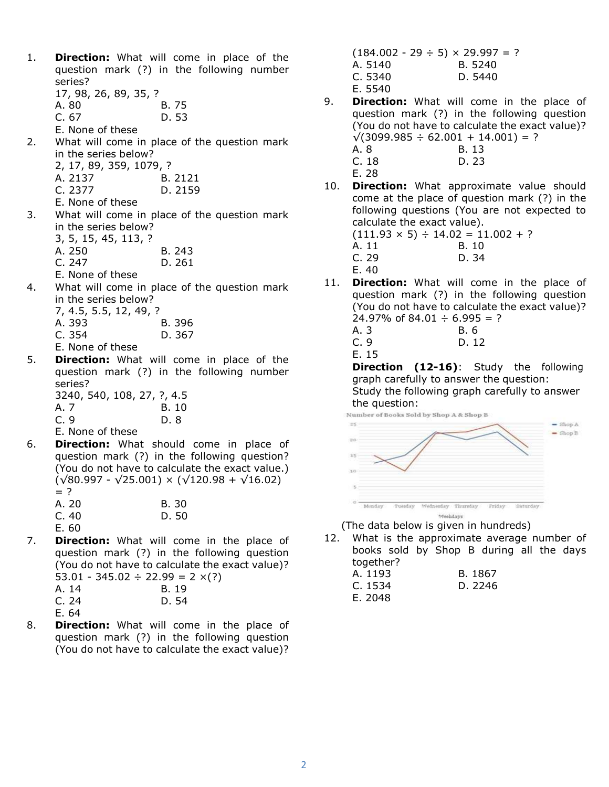- 1. **Direction:** What will come in place of the question mark (?) in the following number series?
	- 17, 98, 26, 89, 35, ?
	- A. 80 B. 75
	- C. 67 D. 53
	- E. None of these
- 2. What will come in place of the question mark in the series below?
	- 2, 17, 89, 359, 1079, ?
	- A. 2137 B. 2121
	- C. 2377 D. 2159
	- E. None of these
- 3. What will come in place of the question mark in the series below?
	- 3, 5, 15, 45, 113, ?
	- A. 250 B. 243<br>C. 247 D. 261
	- D. 261
	- E. None of these
- 4. What will come in place of the question mark in the series below?
	- 7, 4.5, 5.5, 12, 49, ? A. 393 B. 396 C. 354 D. 367
	- E. None of these
- 5. **Direction:** What will come in place of the question mark (?) in the following number series?

|      |  | 3240, 540, 108, 27, ?, 4.5 |
|------|--|----------------------------|
| A. 7 |  | B. 10                      |
| C. 9 |  | D. 8                       |

E. None of these

- 6. Direction: What should come in place of question mark (?) in the following question? (You do not have to calculate the exact value.)  $(\sqrt{80.997} - \sqrt{25.001}) \times (\sqrt{120.98} + \sqrt{16.02})$  $=$  ?<br>A. 20  $B. 30$ C. 40 D. 50 E. 60
- 7. **Direction:** What will come in the place of question mark (?) in the following question (You do not have to calculate the exact value)? 53.01 - 345.02  $\div$  22.99 = 2  $\times$ (?) A. 14 B. 19

| .     |       |
|-------|-------|
| C.24  | D. 54 |
| E. 64 |       |

8. **Direction:** What will come in the place of question mark (?) in the following question (You do not have to calculate the exact value)?

 $(184.002 - 29 \div 5) \times 29.997 = ?$ A. 5140 B. 5240 C. 5340 D. 5440 E. 5540

- 9. **Direction:** What will come in the place of question mark (?) in the following question (You do not have to calculate the exact value)?  $\sqrt{(3099.985 \div 62.001 + 14.001)}$  = ? A. 8 B. 13
	- C. 18 D. 23
	- E. 28
- 10. **Direction:** What approximate value should come at the place of question mark (?) in the following questions (You are not expected to calculate the exact value).  $(111.93 \times 5) \div 14.02 = 11.002 + ?$ 
	- A. 11 B. 10
	- C. 29 D. 34
	- E. 40
- 11. **Direction:** What will come in the place of question mark (?) in the following question (You do not have to calculate the exact value)?  $24.97\%$  of 84.01  $\div$  6.995 = ?

A. 3 B. 6 C. 9 D. 12 E. 15

**Direction (12-16):** Study the following graph carefully to answer the question:

Study the following graph carefully to answer the question:



(The data below is given in hundreds)

12. What is the approximate average number of books sold by Shop B during all the days together?

| <u>.</u> |         |
|----------|---------|
| A. 1193  | B. 1867 |
| C. 1534  | D. 2246 |
| E. 2048  |         |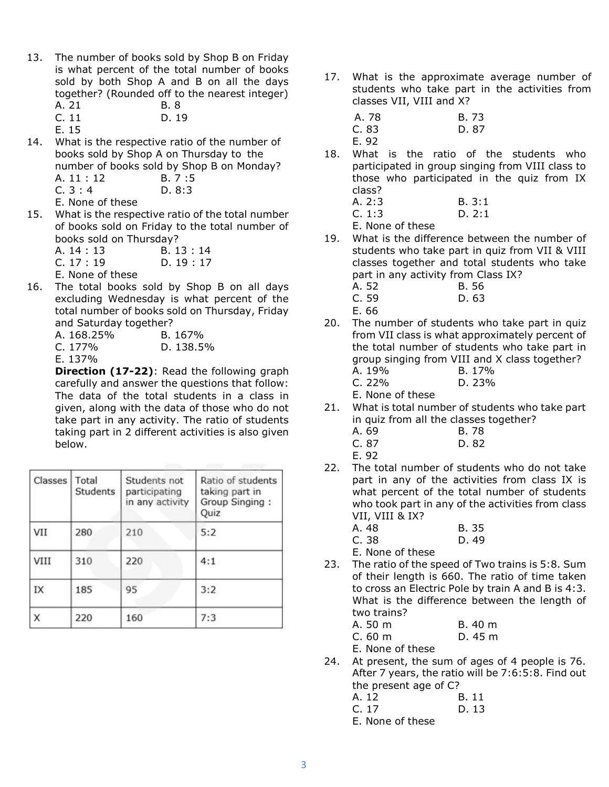- 13. The number of books sold by Shop B on Friday is what percent of the total number of books sold by both Shop A and B on all the days together? (Rounded off to the nearest integer) A. 21 B. 8
	- C. 11 D. 19

E. 15

14. What is the respective ratio of the number of books sold by Shop A on Thursday to the number of books sold by Shop B on Monday?

| A. 11 : 12       | B.7:5  |
|------------------|--------|
| C.3:4            | D. 8:3 |
| E. None of these |        |

- 15. What is the respective ratio of the total number of books sold on Friday to the total number of books sold on Thursday?
	- A. 14 : 13 B. 13 : 14<br>C. 17 : 19 D. 19 : 17  $D. 19: 17$ E. None of these
- 16. The total books sold by Shop B on all days excluding Wednesday is what percent of the total number of books sold on Thursday, Friday and Saturday together?

| A. 168.25%     | B. 167%   |
|----------------|-----------|
| C. $177%$      | D. 138.5% |
| <b>F</b> 1270/ |           |

E. 137%

Direction (17-22): Read the following graph carefully and answer the questions that follow: The data of the total students in a class in given, along with the data of those who do not take part in any activity. The ratio of students taking part in 2 different activities is also given below.

| Classes | Total<br>Students | Students not<br>participating<br>in any activity | Ratio of students<br>taking part in<br>Group Singing:<br>Quiz |
|---------|-------------------|--------------------------------------------------|---------------------------------------------------------------|
| VII     | 280               | 210                                              | 5:2                                                           |
| VIII    | 310               | 220                                              | 4:1                                                           |
| IX      | 185               | 95                                               | 3:2                                                           |
| X       | 220               | 160                                              | 7:3                                                           |

17. What is the approximate average number of students who take part in the activities from classes VII, VIII and X?

| A. 78 | B. 73 |
|-------|-------|
| C.83  | D. 87 |
| E. 92 |       |

18. What is the ratio of the students who participated in group singing from VIII class to those who participated in the quiz from IX class?

| A. 2:3 | B. 3:1 |
|--------|--------|
| C. 1:3 | D.2:1  |

E. None of these

- 19. What is the difference between the number of students who take part in quiz from VII & VIII classes together and total students who take part in any activity from Class IX?
	- A. 52 B. 56
	- C. 59 D. 63
	- E. 66
- 20. The number of students who take part in quiz from VII class is what approximately percent of the total number of students who take part in group singing from VIII and X class together? A. 19% B. 17% C. 22% D. 23%

E. None of these

- 21. What is total number of students who take part in quiz from all the classes together?
	- A. 69 B. 78 C. 87 D. 82
	- E. 92
- 22. The total number of students who do not take part in any of the activities from class IX is what percent of the total number of students who took part in any of the activities from class VII, VIII & IX?
	- A. 48 B. 35 C. 38 D. 49

E. None of these

- 23. The ratio of the speed of Two trains is 5:8. Sum of their length is 660. The ratio of time taken to cross an Electric Pole by train A and B is 4:3. What is the difference between the length of two trains?
	- A. 50 m B. 40 m C. 60 m D. 45 m

E. None of these

24. At present, the sum of ages of 4 people is 76. After 7 years, the ratio will be 7:6:5:8. Find out the present age of C?

| A. 12 | B. 11 |
|-------|-------|
| C. 17 | D. 13 |

E. None of these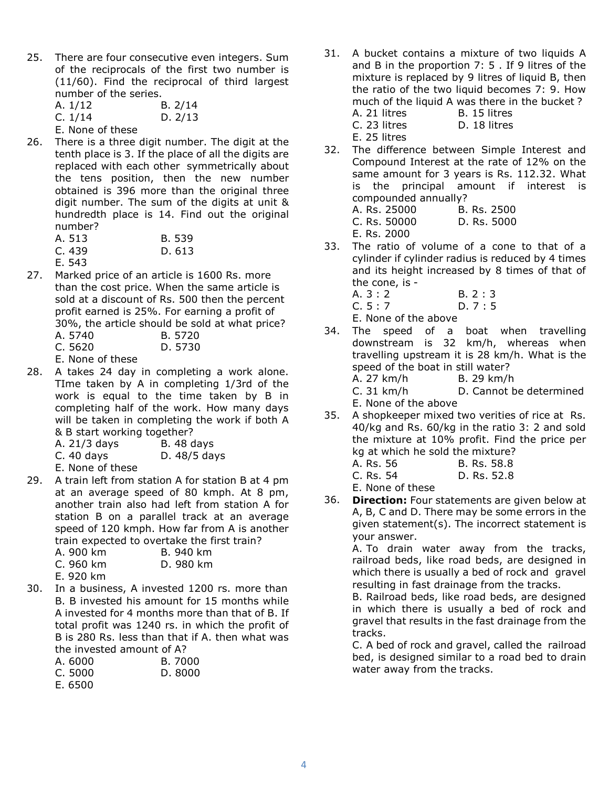- 25. There are four consecutive even integers. Sum of the reciprocals of the first two number is (11/60). Find the reciprocal of third largest number of the series.
	- A. 1/12 B. 2/14 C. 1/14 D. 2/13
	- E. None of these
- 26. There is a three digit number. The digit at the tenth place is 3. If the place of all the digits are replaced with each other symmetrically about the tens position, then the new number obtained is 396 more than the original three digit number. The sum of the digits at unit & hundredth place is 14. Find out the original number?
	- A. 513 B. 539 C. 439 D. 613
	- E. 543
- 27. Marked price of an article is 1600 Rs. more than the cost price. When the same article is sold at a discount of Rs. 500 then the percent profit earned is 25%. For earning a profit of 30%, the article should be sold at what price?
	- A. 5740 B. 5720
	- C. 5620 D. 5730
	- E. None of these
- 28. A takes 24 day in completing a work alone. TIme taken by A in completing 1/3rd of the work is equal to the time taken by B in completing half of the work. How many days will be taken in completing the work if both A & B start working together?
	- A. 21/3 days B. 48 days
	- C. 40 days D. 48/5 days
		- E. None of these
- 29. A train left from station A for station B at 4 pm at an average speed of 80 kmph. At 8 pm, another train also had left from station A for station B on a parallel track at an average speed of 120 kmph. How far from A is another train expected to overtake the first train?

| A. 900 km |  | B. 940 km |
|-----------|--|-----------|
| C. 960 km |  | D. 980 km |

- E. 920 km
- 30. In a business, A invested 1200 rs. more than B. B invested his amount for 15 months while A invested for 4 months more than that of B. If total profit was 1240 rs. in which the profit of B is 280 Rs. less than that if A. then what was the invested amount of A?
	- A. 6000 B. 7000
	- C. 5000 D. 8000
	- E. 6500
- 31. A bucket contains a mixture of two liquids A and B in the proportion 7: 5 . If 9 litres of the mixture is replaced by 9 litres of liquid B, then the ratio of the two liquid becomes 7: 9. How much of the liquid A was there in the bucket ? A. 21 litres B. 15 litres
	- C. 23 litres D. 18 litres
	- E. 25 litres
- 32. The difference between Simple Interest and Compound Interest at the rate of 12% on the same amount for 3 years is Rs. 112.32. What is the principal amount if interest is compounded annually? A. Rs. 25000 B. Rs. 2500 C. Rs. 50000 D. Rs. 5000

E. Rs. 2000

- 33. The ratio of volume of a cone to that of a cylinder if cylinder radius is reduced by 4 times and its height increased by 8 times of that of the cone, is -
	- A. 3 : 2 B. 2 : 3 C. 5 : 7 D. 7 : 5

E. None of the above

34. The speed of a boat when travelling downstream is 32 km/h, whereas when travelling upstream it is 28 km/h. What is the speed of the boat in still water? A. 27 km/h B. 29 km/h

C. 31 km/h D. Cannot be determined E. None of the above

- 35. A shopkeeper mixed two verities of rice at Rs. 40/kg and Rs. 60/kg in the ratio 3: 2 and sold the mixture at 10% profit. Find the price per kg at which he sold the mixture?
	- A. Rs. 56 B. Rs. 58.8
	- C. Rs. 54 D. Rs. 52.8
	- E. None of these
- 36. Direction: Four statements are given below at A, B, C and D. There may be some errors in the given statement(s). The incorrect statement is your answer.

A. To drain water away from the tracks, railroad beds, like road beds, are designed in which there is usually a bed of rock and gravel resulting in fast drainage from the tracks.

B. Railroad beds, like road beds, are designed in which there is usually a bed of rock and gravel that results in the fast drainage from the tracks.

C. A bed of rock and gravel, called the railroad bed, is designed similar to a road bed to drain water away from the tracks.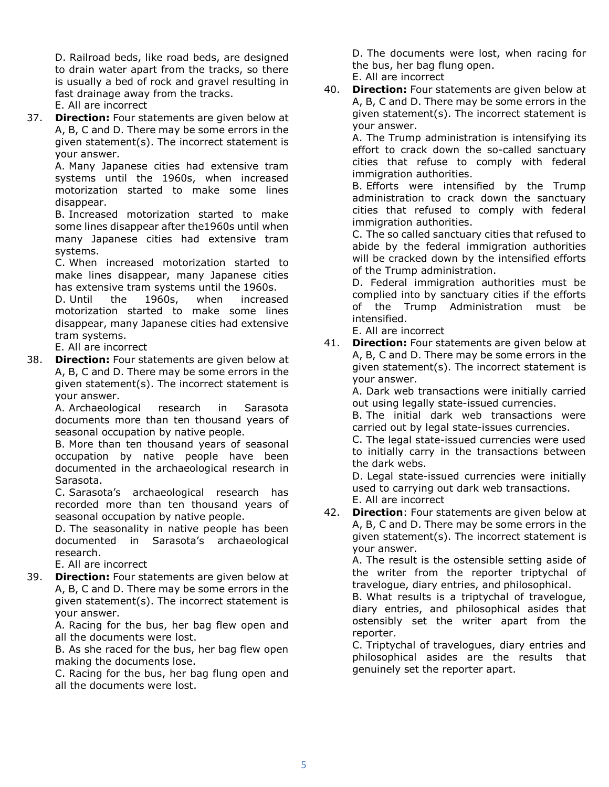D. Railroad beds, like road beds, are designed to drain water apart from the tracks, so there is usually a bed of rock and gravel resulting in fast drainage away from the tracks.

E. All are incorrect

37. **Direction:** Four statements are given below at A, B, C and D. There may be some errors in the given statement(s). The incorrect statement is your answer.

> A. Many Japanese cities had extensive tram systems until the 1960s, when increased motorization started to make some lines disappear.

> B. Increased motorization started to make some lines disappear after the1960s until when many Japanese cities had extensive tram systems.

> C. When increased motorization started to make lines disappear, many Japanese cities has extensive tram systems until the 1960s.

> D. Until the 1960s, when increased motorization started to make some lines disappear, many Japanese cities had extensive tram systems.

E. All are incorrect

38. Direction: Four statements are given below at A, B, C and D. There may be some errors in the given statement(s). The incorrect statement is your answer.

A. Archaeological research in Sarasota documents more than ten thousand years of seasonal occupation by native people.

B. More than ten thousand years of seasonal occupation by native people have been documented in the archaeological research in Sarasota.

C. Sarasota's archaeological research has recorded more than ten thousand years of seasonal occupation by native people.

D. The seasonality in native people has been documented in Sarasota's archaeological research.

E. All are incorrect

39. Direction: Four statements are given below at A, B, C and D. There may be some errors in the given statement(s). The incorrect statement is your answer.

A. Racing for the bus, her bag flew open and all the documents were lost.

B. As she raced for the bus, her bag flew open making the documents lose.

C. Racing for the bus, her bag flung open and all the documents were lost.

D. The documents were lost, when racing for the bus, her bag flung open.

E. All are incorrect

40. **Direction:** Four statements are given below at A, B, C and D. There may be some errors in the given statement(s). The incorrect statement is your answer.

> A. The Trump administration is intensifying its effort to crack down the so-called sanctuary cities that refuse to comply with federal immigration authorities.

> B. Efforts were intensified by the Trump administration to crack down the sanctuary cities that refused to comply with federal immigration authorities.

> C. The so called sanctuary cities that refused to abide by the federal immigration authorities will be cracked down by the intensified efforts of the Trump administration.

> D. Federal immigration authorities must be complied into by sanctuary cities if the efforts of the Trump Administration must be intensified.

E. All are incorrect

41. Direction: Four statements are given below at A, B, C and D. There may be some errors in the given statement(s). The incorrect statement is your answer.

A. Dark web transactions were initially carried out using legally state-issued currencies.

B. The initial dark web transactions were carried out by legal state-issues currencies.

C. The legal state-issued currencies were used to initially carry in the transactions between the dark webs.

D. Legal state-issued currencies were initially used to carrying out dark web transactions. E. All are incorrect

42. Direction: Four statements are given below at A, B, C and D. There may be some errors in the given statement(s). The incorrect statement is your answer.

A. The result is the ostensible setting aside of the writer from the reporter triptychal of travelogue, diary entries, and philosophical.

B. What results is a triptychal of travelogue, diary entries, and philosophical asides that ostensibly set the writer apart from the reporter.

C. Triptychal of travelogues, diary entries and philosophical asides are the results that genuinely set the reporter apart.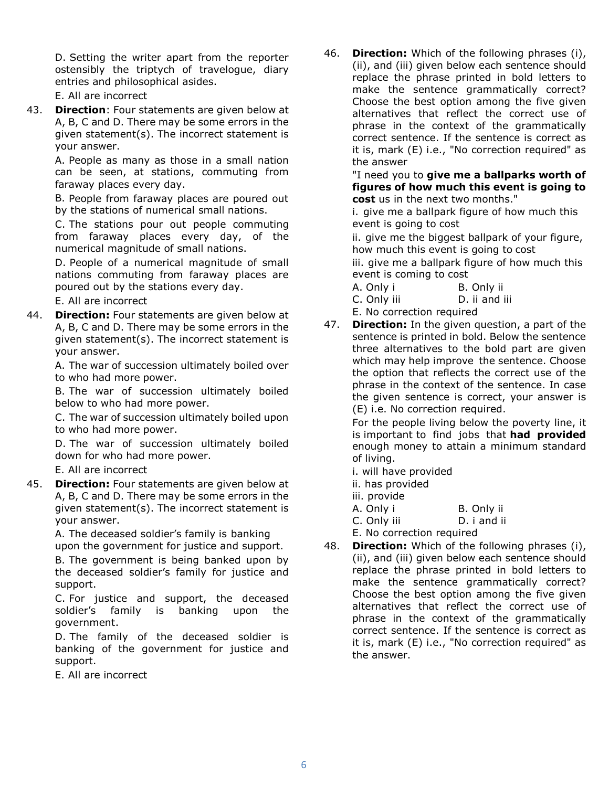D. Setting the writer apart from the reporter ostensibly the triptych of travelogue, diary entries and philosophical asides.

E. All are incorrect

43. Direction: Four statements are given below at A, B, C and D. There may be some errors in the given statement(s). The incorrect statement is your answer.

> A. People as many as those in a small nation can be seen, at stations, commuting from faraway places every day.

> B. People from faraway places are poured out by the stations of numerical small nations.

> C. The stations pour out people commuting from faraway places every day, of the numerical magnitude of small nations.

> D. People of a numerical magnitude of small nations commuting from faraway places are poured out by the stations every day.

E. All are incorrect

44. **Direction:** Four statements are given below at A, B, C and D. There may be some errors in the given statement(s). The incorrect statement is your answer.

> A. The war of succession ultimately boiled over to who had more power.

> B. The war of succession ultimately boiled below to who had more power.

> C. The war of succession ultimately boiled upon to who had more power.

> D. The war of succession ultimately boiled down for who had more power.

E. All are incorrect

45. Direction: Four statements are given below at A, B, C and D. There may be some errors in the given statement(s). The incorrect statement is your answer.

> A. The deceased soldier's family is banking upon the government for justice and support.

B. The government is being banked upon by the deceased soldier's family for justice and support.

C. For justice and support, the deceased soldier's family is banking upon the government.

D. The family of the deceased soldier is banking of the government for justice and support.

E. All are incorrect

46. Direction: Which of the following phrases (i), (ii), and (iii) given below each sentence should replace the phrase printed in bold letters to make the sentence grammatically correct? Choose the best option among the five given alternatives that reflect the correct use of phrase in the context of the grammatically correct sentence. If the sentence is correct as it is, mark (E) i.e., "No correction required" as the answer

> "I need you to give me a ballparks worth of figures of how much this event is going to cost us in the next two months."

i. give me a ballpark figure of how much this event is going to cost

ii. give me the biggest ballpark of your figure, how much this event is going to cost

iii. give me a ballpark figure of how much this event is coming to cost

- A. Only i B. Only ii
- C. Only iii D. ii and iii
- E. No correction required
- 47. **Direction:** In the given question, a part of the sentence is printed in bold. Below the sentence three alternatives to the bold part are given which may help improve the sentence. Choose the option that reflects the correct use of the phrase in the context of the sentence. In case the given sentence is correct, your answer is (E) i.e. No correction required.

For the people living below the poverty line, it is important to find jobs that had provided enough money to attain a minimum standard of living.

i. will have provided

ii. has provided

iii. provide

| A. Only i | B. Only ii |
|-----------|------------|
|-----------|------------|

C. Only iii D. i and ii

E. No correction required

48. Direction: Which of the following phrases (i), (ii), and (iii) given below each sentence should replace the phrase printed in bold letters to make the sentence grammatically correct? Choose the best option among the five given alternatives that reflect the correct use of phrase in the context of the grammatically correct sentence. If the sentence is correct as it is, mark (E) i.e., "No correction required" as the answer.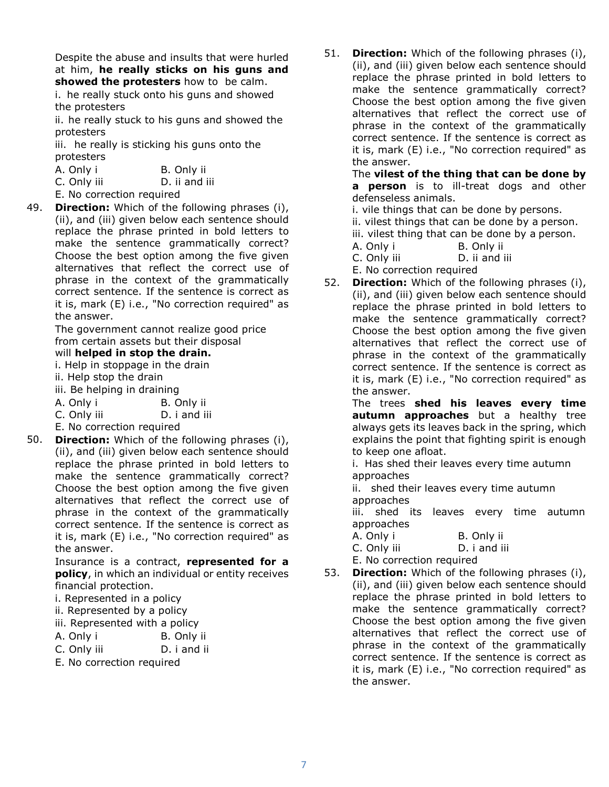Despite the abuse and insults that were hurled at him, he really sticks on his guns and showed the protesters how to be calm.

i. he really stuck onto his guns and showed the protesters

ii. he really stuck to his guns and showed the protesters

iii. he really is sticking his guns onto the protesters

| A. Only i                  | B. Only ii    |
|----------------------------|---------------|
| C. Only iii                | D. ii and iii |
| $E$ No correction required |               |

E. No correction required

49. **Direction:** Which of the following phrases (i), (ii), and (iii) given below each sentence should replace the phrase printed in bold letters to make the sentence grammatically correct? Choose the best option among the five given alternatives that reflect the correct use of phrase in the context of the grammatically correct sentence. If the sentence is correct as it is, mark (E) i.e., "No correction required" as the answer.

The government cannot realize good price from certain assets but their disposal

# will helped in stop the drain.

i. Help in stoppage in the drain

- ii. Help stop the drain
- iii. Be helping in draining
- A. Only i B. Only ii
- C. Only iii D. i and iii
- E. No correction required
- 50. **Direction:** Which of the following phrases (i), (ii), and (iii) given below each sentence should replace the phrase printed in bold letters to make the sentence grammatically correct? Choose the best option among the five given alternatives that reflect the correct use of phrase in the context of the grammatically correct sentence. If the sentence is correct as it is, mark (E) i.e., "No correction required" as the answer.

Insurance is a contract, represented for a policy, in which an individual or entity receives financial protection.

- i. Represented in a policy
- ii. Represented by a policy
- iii. Represented with a policy
- A. Only i B. Only ii
- C. Only iii D. i and ii
- E. No correction required

51. **Direction:** Which of the following phrases (i), (ii), and (iii) given below each sentence should replace the phrase printed in bold letters to make the sentence grammatically correct? Choose the best option among the five given alternatives that reflect the correct use of phrase in the context of the grammatically correct sentence. If the sentence is correct as it is, mark (E) i.e., "No correction required" as the answer.

> The vilest of the thing that can be done by a **person** is to ill-treat dogs and other defenseless animals.

i. vile things that can be done by persons.

ii. vilest things that can be done by a person.

iii. vilest thing that can be done by a person.

- A. Only i B. Only ii
- C. Only iii D. ii and iii

E. No correction required

52. **Direction:** Which of the following phrases (i), (ii), and (iii) given below each sentence should replace the phrase printed in bold letters to make the sentence grammatically correct? Choose the best option among the five given alternatives that reflect the correct use of phrase in the context of the grammatically correct sentence. If the sentence is correct as it is, mark (E) i.e., "No correction required" as the answer.

The trees shed his leaves every time autumn approaches but a healthy tree always gets its leaves back in the spring, which explains the point that fighting spirit is enough to keep one afloat.

i. Has shed their leaves every time autumn approaches

ii. shed their leaves every time autumn approaches

iii. shed its leaves every time autumn approaches

A. Only i B. Only ii C. Only iii D. i and iii

E. No correction required

53. Direction: Which of the following phrases (i), (ii), and (iii) given below each sentence should replace the phrase printed in bold letters to make the sentence grammatically correct? Choose the best option among the five given alternatives that reflect the correct use of phrase in the context of the grammatically correct sentence. If the sentence is correct as it is, mark (E) i.e., "No correction required" as the answer.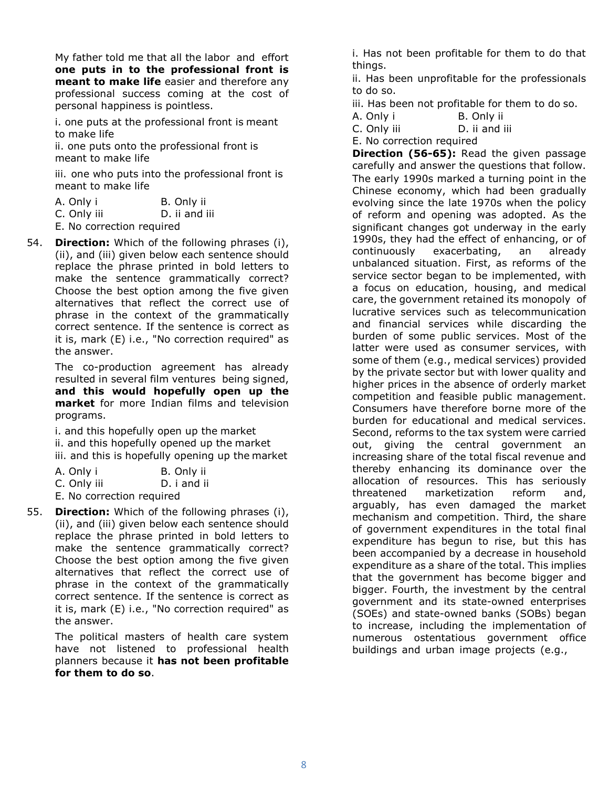My father told me that all the labor and effort one puts in to the professional front is meant to make life easier and therefore any professional success coming at the cost of personal happiness is pointless.

i. one puts at the professional front is meant to make life

ii. one puts onto the professional front is meant to make life

iii. one who puts into the professional front is meant to make life

| A. Only i | B. Only ii |
|-----------|------------|
|-----------|------------|

C. Only iii D. ii and iii

- E. No correction required
- 54. **Direction:** Which of the following phrases (i), (ii), and (iii) given below each sentence should replace the phrase printed in bold letters to make the sentence grammatically correct? Choose the best option among the five given alternatives that reflect the correct use of phrase in the context of the grammatically correct sentence. If the sentence is correct as it is, mark (E) i.e., "No correction required" as the answer.

The co-production agreement has already resulted in several film ventures being signed, and this would hopefully open up the market for more Indian films and television programs.

i. and this hopefully open up the market

- ii. and this hopefully opened up the market
- iii. and this is hopefully opening up the market

| A. Only i   | B. Only ii  |
|-------------|-------------|
| C. Only iii | D. i and ii |

- E. No correction required
- 55. **Direction:** Which of the following phrases (i), (ii), and (iii) given below each sentence should replace the phrase printed in bold letters to make the sentence grammatically correct? Choose the best option among the five given alternatives that reflect the correct use of phrase in the context of the grammatically correct sentence. If the sentence is correct as it is, mark (E) i.e., "No correction required" as the answer.

The political masters of health care system have not listened to professional health planners because it has not been profitable for them to do so.

i. Has not been profitable for them to do that things.

ii. Has been unprofitable for the professionals to do so.

iii. Has been not profitable for them to do so.

A. Only i B. Only ii

C. Only iii D. ii and iii

E. No correction required

Direction (56-65): Read the given passage carefully and answer the questions that follow. The early 1990s marked a turning point in the Chinese economy, which had been gradually evolving since the late 1970s when the policy of reform and opening was adopted. As the significant changes got underway in the early 1990s, they had the effect of enhancing, or of continuously exacerbating, an already unbalanced situation. First, as reforms of the service sector began to be implemented, with a focus on education, housing, and medical care, the government retained its monopoly of lucrative services such as telecommunication and financial services while discarding the burden of some public services. Most of the latter were used as consumer services, with some of them (e.g., medical services) provided by the private sector but with lower quality and higher prices in the absence of orderly market competition and feasible public management. Consumers have therefore borne more of the burden for educational and medical services. Second, reforms to the tax system were carried out, giving the central government an increasing share of the total fiscal revenue and thereby enhancing its dominance over the allocation of resources. This has seriously threatened marketization reform and, arguably, has even damaged the market mechanism and competition. Third, the share of government expenditures in the total final expenditure has begun to rise, but this has been accompanied by a decrease in household expenditure as a share of the total. This implies that the government has become bigger and bigger. Fourth, the investment by the central government and its state-owned enterprises (SOEs) and state-owned banks (SOBs) began to increase, including the implementation of numerous ostentatious government office buildings and urban image projects (e.g.,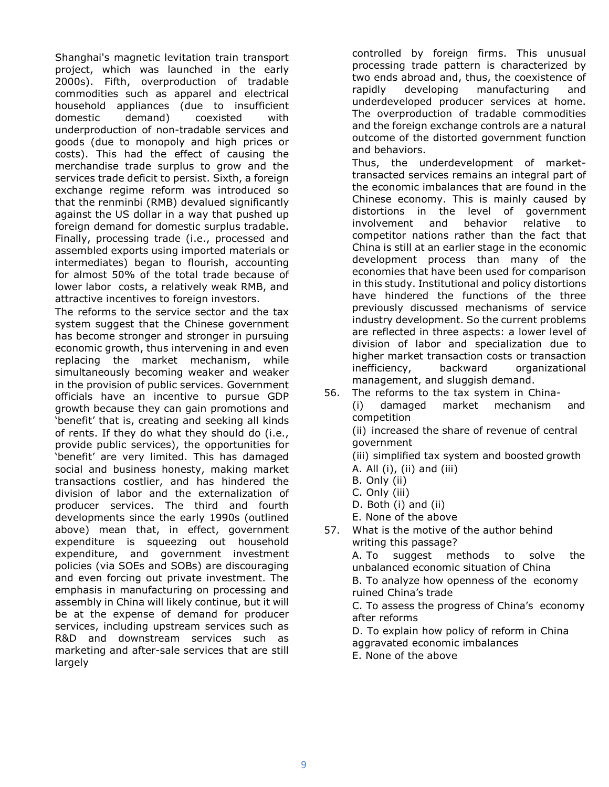Shanghai's magnetic levitation train transport project, which was launched in the early 2000s). Fifth, overproduction of tradable commodities such as apparel and electrical household appliances (due to insufficient domestic demand) coexisted with underproduction of non-tradable services and goods (due to monopoly and high prices or costs). This had the effect of causing the merchandise trade surplus to grow and the services trade deficit to persist. Sixth, a foreign exchange regime reform was introduced so that the renminbi (RMB) devalued significantly against the US dollar in a way that pushed up foreign demand for domestic surplus tradable. Finally, processing trade (i.e., processed and assembled exports using imported materials or intermediates) began to flourish, accounting for almost 50% of the total trade because of lower labor costs, a relatively weak RMB, and attractive incentives to foreign investors.

The reforms to the service sector and the tax system suggest that the Chinese government has become stronger and stronger in pursuing economic growth, thus intervening in and even replacing the market mechanism, while simultaneously becoming weaker and weaker in the provision of public services. Government officials have an incentive to pursue GDP growth because they can gain promotions and 'benefit' that is, creating and seeking all kinds of rents. If they do what they should do (i.e., provide public services), the opportunities for 'benefit' are very limited. This has damaged social and business honesty, making market transactions costlier, and has hindered the division of labor and the externalization of producer services. The third and fourth developments since the early 1990s (outlined above) mean that, in effect, government expenditure is squeezing out household expenditure, and government investment policies (via SOEs and SOBs) are discouraging and even forcing out private investment. The emphasis in manufacturing on processing and assembly in China will likely continue, but it will be at the expense of demand for producer services, including upstream services such as R&D and downstream services such as marketing and after-sale services that are still largely

controlled by foreign firms. This unusual processing trade pattern is characterized by two ends abroad and, thus, the coexistence of rapidly developing manufacturing and underdeveloped producer services at home. The overproduction of tradable commodities and the foreign exchange controls are a natural outcome of the distorted government function and behaviors.

Thus, the underdevelopment of markettransacted services remains an integral part of the economic imbalances that are found in the Chinese economy. This is mainly caused by distortions in the level of government involvement and behavior relative to competitor nations rather than the fact that China is still at an earlier stage in the economic development process than many of the economies that have been used for comparison in this study. Institutional and policy distortions have hindered the functions of the three previously discussed mechanisms of service industry development. So the current problems are reflected in three aspects: a lower level of division of labor and specialization due to higher market transaction costs or transaction inefficiency, backward organizational management, and sluggish demand.

56. The reforms to the tax system in China-

(i) damaged market mechanism and competition

(ii) increased the share of revenue of central government

(iii) simplified tax system and boosted growth A. All (i), (ii) and (iii)

- B. Only (ii)
- C. Only (iii)
- D. Both (i) and (ii)
- E. None of the above
- 57. What is the motive of the author behind writing this passage?

A. To suggest methods to solve the unbalanced economic situation of China B. To analyze how openness of the economy ruined China's trade C. To assess the progress of China's economy

after reforms

D. To explain how policy of reform in China aggravated economic imbalances

E. None of the above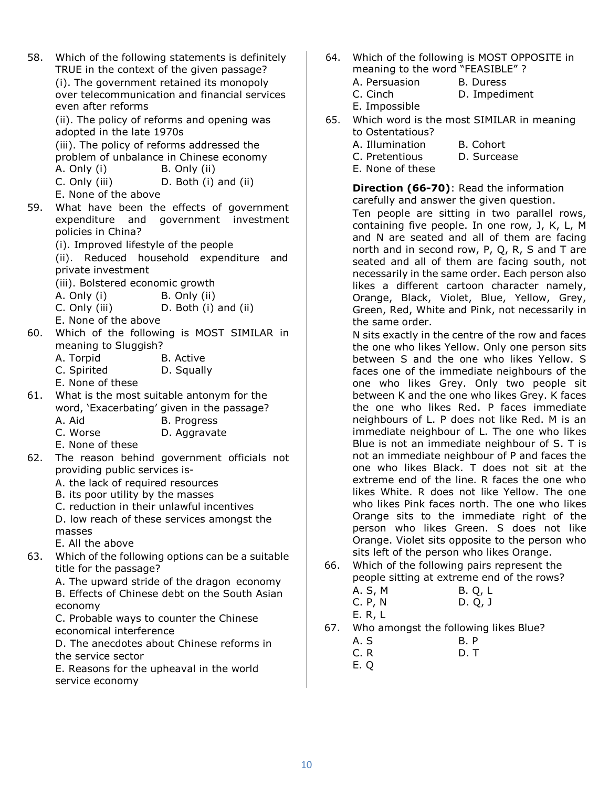58. Which of the following statements is definitely TRUE in the context of the given passage? (i). The government retained its monopoly over telecommunication and financial services

> even after reforms (ii). The policy of reforms and opening was adopted in the late 1970s

(iii). The policy of reforms addressed the problem of unbalance in Chinese economy

A. Only (i) B. Only (ii)

C. Only (iii) D. Both (i) and (ii)

- E. None of the above
- 59. What have been the effects of government expenditure and government investment policies in China?
	- (i). Improved lifestyle of the people

(ii). Reduced household expenditure and private investment

(iii). Bolstered economic growth

- A. Only (i) B. Only (ii)
- C. Only (iii) D. Both (i) and (ii)
- E. None of the above
- 60. Which of the following is MOST SIMILAR in meaning to Sluggish?
	- A. Torpid B. Active
	- C. Spirited D. Squally
	- E. None of these
- 61. What is the most suitable antonym for the word, 'Exacerbating' given in the passage? A. Aid B. Progress
	- C. Worse D. Aggravate
	- E. None of these
- 62. The reason behind government officials not providing public services is-
	- A. the lack of required resources
	- B. its poor utility by the masses
	- C. reduction in their unlawful incentives
	- D. low reach of these services amongst the masses
	- E. All the above
- 63. Which of the following options can be a suitable title for the passage?

A. The upward stride of the dragon economy B. Effects of Chinese debt on the South Asian economy

C. Probable ways to counter the Chinese economical interference

D. The anecdotes about Chinese reforms in the service sector

E. Reasons for the upheaval in the world service economy

- 64. Which of the following is MOST OPPOSITE in meaning to the word "FEASIBLE" ?
	- A. Persuasion B. Duress
	- C. Cinch D. Impediment
	- E. Impossible
- 65. Which word is the most SIMILAR in meaning to Ostentatious?
	- A. Illumination B. Cohort
	- C. Pretentious D. Surcease
	- E. None of these

#### Direction (66-70): Read the information carefully and answer the given question.

Ten people are sitting in two parallel rows, containing five people. In one row, J, K, L, M and N are seated and all of them are facing north and in second row, P, Q, R, S and T are seated and all of them are facing south, not necessarily in the same order. Each person also likes a different cartoon character namely, Orange, Black, Violet, Blue, Yellow, Grey, Green, Red, White and Pink, not necessarily in the same order.

N sits exactly in the centre of the row and faces the one who likes Yellow. Only one person sits between S and the one who likes Yellow. S faces one of the immediate neighbours of the one who likes Grey. Only two people sit between K and the one who likes Grey. K faces the one who likes Red. P faces immediate neighbours of L. P does not like Red. M is an immediate neighbour of L. The one who likes Blue is not an immediate neighbour of S. T is not an immediate neighbour of P and faces the one who likes Black. T does not sit at the extreme end of the line. R faces the one who likes White. R does not like Yellow. The one who likes Pink faces north. The one who likes Orange sits to the immediate right of the person who likes Green. S does not like Orange. Violet sits opposite to the person who sits left of the person who likes Orange.

66. Which of the following pairs represent the people sitting at extreme end of the rows?

| A. S, M | B. Q, L |
|---------|---------|
| C. P, N | D. Q, J |
| E. R, L |         |

67. Who amongst the following likes Blue?

| A. S | <b>B.P</b> |
|------|------------|
| C. R | D. T       |

E. Q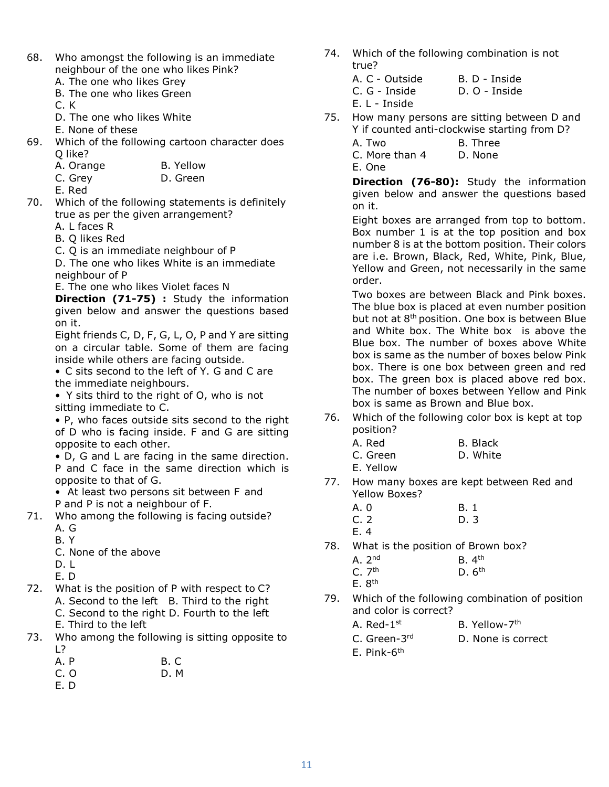- 68. Who amongst the following is an immediate neighbour of the one who likes Pink?
	- A. The one who likes Grey
	- B. The one who likes Green

C. K

- D. The one who likes White
- E. None of these
- 69. Which of the following cartoon character does Q like?
	- A. Orange B. Yellow
	- C. Grey D. Green

E. Red

70. Which of the following statements is definitely true as per the given arrangement?

A. L faces R

- B. Q likes Red
- C. Q is an immediate neighbour of P

D. The one who likes White is an immediate neighbour of P

E. The one who likes Violet faces N

Direction (71-75) : Study the information given below and answer the questions based on it.

Eight friends C, D, F, G, L, O, P and Y are sitting on a circular table. Some of them are facing inside while others are facing outside.

• C sits second to the left of Y. G and C are the immediate neighbours.

• Y sits third to the right of O, who is not sitting immediate to C.

• P, who faces outside sits second to the right of D who is facing inside. F and G are sitting opposite to each other.

• D, G and L are facing in the same direction. P and C face in the same direction which is opposite to that of G.

• At least two persons sit between F and

P and P is not a neighbour of F.

- 71. Who among the following is facing outside? A. G
	-
	- B. Y
	- C. None of the above
	- D. L

E. D

- 72. What is the position of P with respect to C? A. Second to the left B. Third to the right C. Second to the right D. Fourth to the left E. Third to the left
- 73. Who among the following is sitting opposite to  $\overline{1}$ 
	- A. P B. C
	- C. O D. M
	- E. D
- 74. Which of the following combination is not true?
	- A. C Outside B. D Inside C. G - Inside D. O - Inside

E. L - Inside

- 75. How many persons are sitting between D and Y if counted anti-clockwise starting from D?
	- A. Two B. Three
	- C. More than 4 D. None

E. One

Direction (76-80): Study the information given below and answer the questions based on it.

Eight boxes are arranged from top to bottom. Box number 1 is at the top position and box number 8 is at the bottom position. Their colors are i.e. Brown, Black, Red, White, Pink, Blue, Yellow and Green, not necessarily in the same order.

Two boxes are between Black and Pink boxes. The blue box is placed at even number position but not at 8<sup>th</sup> position. One box is between Blue and White box. The White box is above the Blue box. The number of boxes above White box is same as the number of boxes below Pink box. There is one box between green and red box. The green box is placed above red box. The number of boxes between Yellow and Pink box is same as Brown and Blue box.

76. Which of the following color box is kept at top position?

| A. Red    | B. Black |
|-----------|----------|
| C. Green  | D. White |
| E. Yellow |          |

77. How many boxes are kept between Red and Yellow Boxes?

| A. 0 | B. 1 |
|------|------|
| C. 2 | D. 3 |
| E. 4 |      |

78. What is the position of Brown box?

| A.2 <sup>nd</sup> | B.4 <sup>th</sup> |
|-------------------|-------------------|
| C.7 <sup>th</sup> | D.6 <sup>th</sup> |
| E.8 <sup>th</sup> |                   |

- 79. Which of the following combination of position and color is correct?
	- A. Red-1<sup>st</sup> B. Yellow-7<sup>th</sup> C. Green-3<sup>rd</sup> D. None is correct
	- E. Pink-6th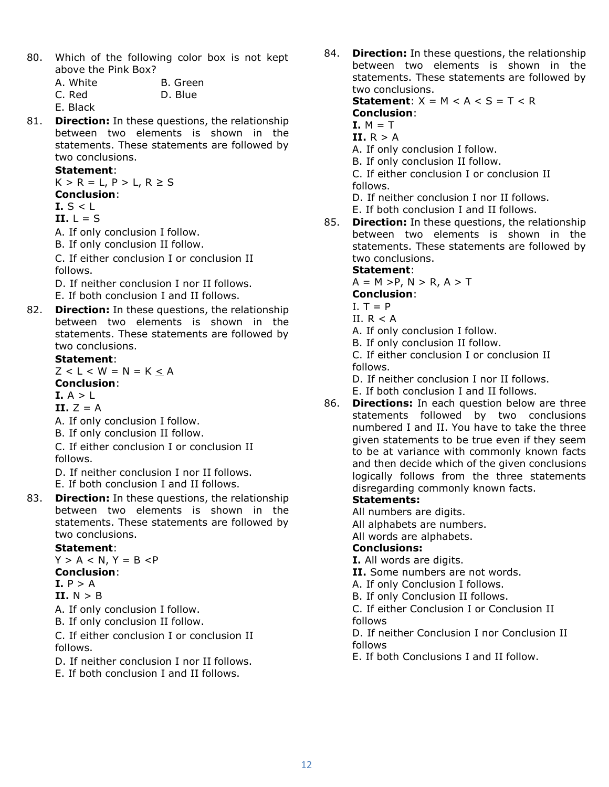80. Which of the following color box is not kept above the Pink Box?

| A. White | B. Green |
|----------|----------|
| C. Red   | D. Blue  |

- E. Black
- 81. **Direction:** In these questions, the relationship between two elements is shown in the statements. These statements are followed by two conclusions.

### Statement:

 $K > R = L$ ,  $P > L$ ,  $R \ge S$ Conclusion:

- I.  $S < L$
- $II. \perp = S$
- A. If only conclusion I follow.
- B. If only conclusion II follow.

C. If either conclusion I or conclusion II follows.

- D. If neither conclusion I nor II follows.
- E. If both conclusion I and II follows.
- 82. **Direction:** In these questions, the relationship between two elements is shown in the statements. These statements are followed by two conclusions.

### Statement:

 $Z < L < W = N = K < A$ Conclusion:

### I.  $A > L$

 $II. Z = A$ 

- A. If only conclusion I follow.
- B. If only conclusion II follow.

C. If either conclusion I or conclusion II follows.

D. If neither conclusion I nor II follows.

E. If both conclusion I and II follows.

83. Direction: In these questions, the relationship between two elements is shown in the statements. These statements are followed by two conclusions.

### Statement:

 $Y > A < N$ ,  $Y = B < P$ Conclusion:  $T$ . P  $\sim$  A

$$
\begin{array}{ll}\n \textbf{I.} & \textbf{P} & \textbf{P} & \textbf{A} \\
\textbf{II} & \textbf{N} & \textbf{E} & \textbf{I}\n \end{array}
$$

II.  $N > B$ 

A. If only conclusion I follow.

B. If only conclusion II follow.

C. If either conclusion I or conclusion II follows.

- D. If neither conclusion I nor II follows.
- E. If both conclusion I and II follows.

84. Direction: In these questions, the relationship between two elements is shown in the statements. These statements are followed by two conclusions.

Statement:  $X = M < A < S = T < R$ Conclusion:

### $I. M = T$

- II.  $R > A$
- A. If only conclusion I follow.
- B. If only conclusion II follow.

C. If either conclusion I or conclusion II follows.

D. If neither conclusion I nor II follows.

- E. If both conclusion I and II follows.
- 85. Direction: In these questions, the relationship between two elements is shown in the statements. These statements are followed by two conclusions.

### Statement:

 $A = M > P$ ,  $N > R$ ,  $A > T$ 

- Conclusion:
- $I. T = P$
- II.  $R < A$

A. If only conclusion I follow.

B. If only conclusion II follow.

C. If either conclusion I or conclusion II follows.

D. If neither conclusion I nor II follows.

E. If both conclusion I and II follows.

86. Directions: In each question below are three statements followed by two conclusions numbered I and II. You have to take the three given statements to be true even if they seem to be at variance with commonly known facts and then decide which of the given conclusions logically follows from the three statements disregarding commonly known facts.

# Statements:

All numbers are digits.

- All alphabets are numbers.
- All words are alphabets.

### Conclusions:

I. All words are digits.

II. Some numbers are not words.

A. If only Conclusion I follows.

B. If only Conclusion II follows.

C. If either Conclusion I or Conclusion II follows

D. If neither Conclusion I nor Conclusion II follows

E. If both Conclusions I and II follow.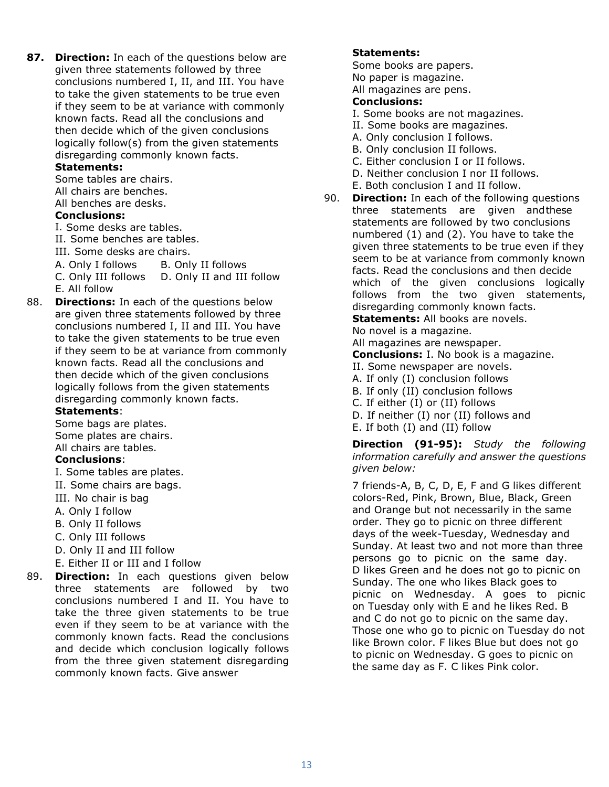87. Direction: In each of the questions below are given three statements followed by three conclusions numbered I, II, and III. You have to take the given statements to be true even if they seem to be at variance with commonly known facts. Read all the conclusions and then decide which of the given conclusions logically follow(s) from the given statements disregarding commonly known facts.

### Statements:

Some tables are chairs.

All chairs are benches.

All benches are desks.

### Conclusions:

I. Some desks are tables.

II. Some benches are tables.

III. Some desks are chairs.

A. Only I follows B. Only II follows

C. Only III follows D. Only II and III follow E. All follow

88. **Directions:** In each of the questions below are given three statements followed by three conclusions numbered I, II and III. You have to take the given statements to be true even if they seem to be at variance from commonly known facts. Read all the conclusions and then decide which of the given conclusions logically follows from the given statements disregarding commonly known facts.

### Statements:

Some bags are plates. Some plates are chairs. All chairs are tables.

# Conclusions:

- I. Some tables are plates.
- II. Some chairs are bags.
- III. No chair is bag
- A. Only I follow
- B. Only II follows
- C. Only III follows
- D. Only II and III follow
- E. Either II or III and I follow
- 89. Direction: In each questions given below three statements are followed by two conclusions numbered I and II. You have to take the three given statements to be true even if they seem to be at variance with the commonly known facts. Read the conclusions and decide which conclusion logically follows from the three given statement disregarding commonly known facts. Give answer

#### Statements:

Some books are papers.

No paper is magazine.

All magazines are pens.

### Conclusions:

- I. Some books are not magazines.
- II. Some books are magazines.
- A. Only conclusion I follows.
- B. Only conclusion II follows.
- C. Either conclusion I or II follows.
- D. Neither conclusion I nor II follows.
- E. Both conclusion I and II follow.
- 90. **Direction:** In each of the following questions three statements are given and these statements are followed by two conclusions numbered (1) and (2). You have to take the given three statements to be true even if they seem to be at variance from commonly known facts. Read the conclusions and then decide which of the given conclusions logically follows from the two given statements, disregarding commonly known facts.

**Statements: All books are novels.** 

No novel is a magazine.

All magazines are newspaper.

Conclusions: I. No book is a magazine.

- II. Some newspaper are novels.
- A. If only (I) conclusion follows
- B. If only (II) conclusion follows
- C. If either (I) or (II) follows
- D. If neither (I) nor (II) follows and
- E. If both (I) and (II) follow

Direction (91-95): Study the following information carefully and answer the questions given below:

7 friends-A, B, C, D, E, F and G likes different colors-Red, Pink, Brown, Blue, Black, Green and Orange but not necessarily in the same order. They go to picnic on three different days of the week-Tuesday, Wednesday and Sunday. At least two and not more than three persons go to picnic on the same day. D likes Green and he does not go to picnic on Sunday. The one who likes Black goes to picnic on Wednesday. A goes to picnic on Tuesday only with E and he likes Red. B and C do not go to picnic on the same day. Those one who go to picnic on Tuesday do not like Brown color. F likes Blue but does not go to picnic on Wednesday. G goes to picnic on the same day as F. C likes Pink color.